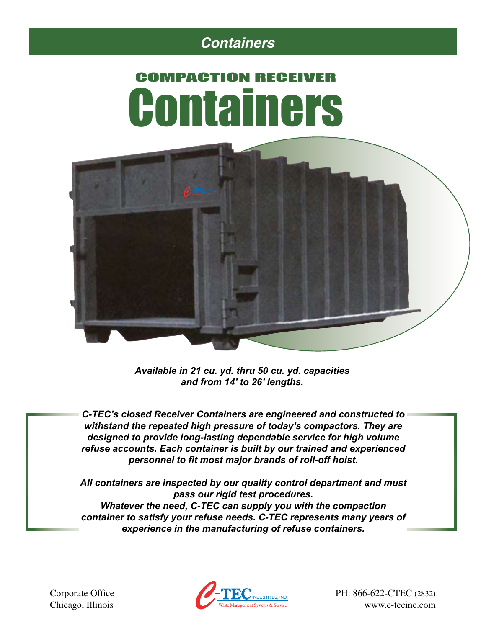### *Containers*

# COMPACTION RECEIVER Containers



*Available in 21 cu. yd. thru 50 cu. yd. capacities and from 14' to 26' lengths.*

*C-TEC's closed Receiver Containers are engineered and constructed to withstand the repeated high pressure of today's compactors. They are designed to provide long-lasting dependable service for high volume refuse accounts. Each container is built by our trained and experienced personnel to fit most major brands of roll-off hoist.* 

*All containers are inspected by our quality control department and must pass our rigid test procedures. Whatever the need, C-TEC can supply you with the compaction container to satisfy your refuse needs. C-TEC represents many years of experience in the manufacturing of refuse containers.* 

Chicago, Illinois